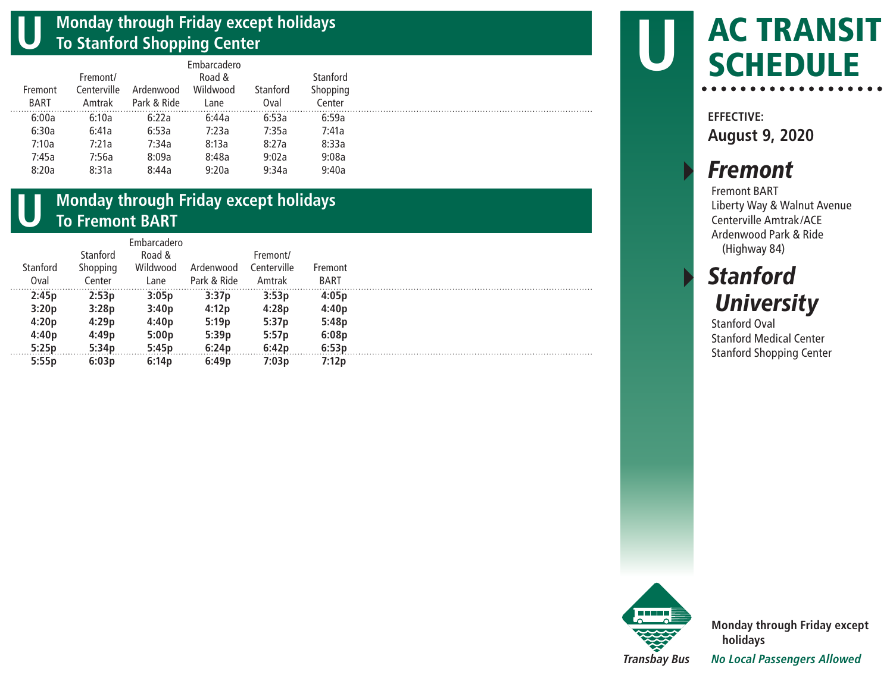#### **U Monday through Friday except holidays To Stanford Shopping Center**

|         |             |             | Embarcadero |          |          |
|---------|-------------|-------------|-------------|----------|----------|
|         | Fremont/    |             | Road &      |          | Stanford |
| Fremont | Centerville | Ardenwood   | Wildwood    | Stanford | Shopping |
| BART    | Amtrak      | Park & Ride | Lane        | Oval     | Center   |
| 6:00a   | 6:10a       | 6:22a       | 6:44a       | 6:53a    | 6:59a    |
| 6:30a   | 6:41a       | 6:53a       | 7:23a       | 7:35a    | 7:41a    |
| 7:10a   | 7:21a       | 7:34a       | 8:13a       | 8:27a    | 8:33a    |
| 7:45a   | 7:56a       | 8:09a       | 8:48a       | 9:02a    | 9:08a    |
| 8:20a   | 8:31a       | 8:44a       | 9:20a       | 9:34a    | 9:40a    |
|         |             |             |             |          |          |

### **U Monday through Friday except holidays To Fremont BART**

|          |          | <b>Fmbarcadero</b> |             |             |             |
|----------|----------|--------------------|-------------|-------------|-------------|
|          | Stanford | Road &             |             | Fremont/    |             |
| Stanford | Shopping | Wildwood           | Ardenwood   | Centerville | Fremont     |
| Oval     | Center   | Lane               | Park & Ride | Amtrak      | <b>BART</b> |
| 2:45p    | 2:53p    | 3:05p              | 3:37p       | 3:53p       | 4:05p       |
| 3:20p    | 3:28p    | 3:40p              | 4:12p       | 4:28p       | 4:40p       |
| 4:20p    | 4:29p    | 4:40p              | 5:19p       | 5:37p       | 5:48p       |
| 4:40p    | 4:49p    | 5:00p              | 5:39p       | 5:57p       | 6:08p       |
| 5:25p    | 5:34p    | 5:45p              | 6:24p       | 6:42p       | 6:53p       |
| 5:55p    | 6:03p    | 6:14 <sub>p</sub>  | 6:49p       | 7:03p       | 7:12p       |

# AC TRANSIT **SCHEDULE**

**EFFECTIVE: August 9, 2020**

**U**

. . . . . . . . . . . . .

## **Fremont**

Fremont BART Liberty Way & Walnut Avenue Centerville Amtrak/ACE Ardenwood Park & Ride (Highway 84)

### **Stanford University**

Stanford Oval Stanford Medical Center Stanford Shopping Center



**Monday through Friday except holidays** *No Local Passengers Allowed*